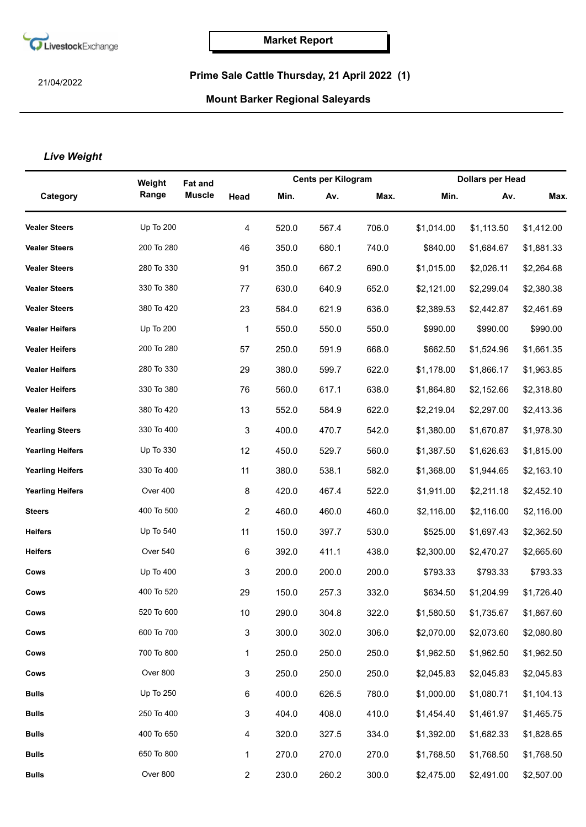

21/04/2022

## **Prime Sale Cattle Thursday, 21 April 2022 (1)**

## **Mount Barker Regional Saleyards**

## *Live Weight*

|                         | Weight           | <b>Fat and</b> |                |       | <b>Cents per Kilogram</b> |       |            | <b>Dollars per Head</b> |            |
|-------------------------|------------------|----------------|----------------|-------|---------------------------|-------|------------|-------------------------|------------|
| Category                | Range            | <b>Muscle</b>  | Head           | Min.  | Av.                       | Max.  | Min.       | Av.                     | <b>Max</b> |
| <b>Vealer Steers</b>    | <b>Up To 200</b> |                | 4              | 520.0 | 567.4                     | 706.0 | \$1,014.00 | \$1,113.50              | \$1,412.00 |
| <b>Vealer Steers</b>    | 200 To 280       |                | 46             | 350.0 | 680.1                     | 740.0 | \$840.00   | \$1,684.67              | \$1,881.33 |
| <b>Vealer Steers</b>    | 280 To 330       |                | 91             | 350.0 | 667.2                     | 690.0 | \$1,015.00 | \$2,026.11              | \$2,264.68 |
| <b>Vealer Steers</b>    | 330 To 380       |                | 77             | 630.0 | 640.9                     | 652.0 | \$2,121.00 | \$2,299.04              | \$2,380.38 |
| <b>Vealer Steers</b>    | 380 To 420       |                | 23             | 584.0 | 621.9                     | 636.0 | \$2,389.53 | \$2,442.87              | \$2,461.69 |
| <b>Vealer Heifers</b>   | Up To 200        |                | 1              | 550.0 | 550.0                     | 550.0 | \$990.00   | \$990.00                | \$990.00   |
| <b>Vealer Heifers</b>   | 200 To 280       |                | 57             | 250.0 | 591.9                     | 668.0 | \$662.50   | \$1,524.96              | \$1,661.35 |
| <b>Vealer Heifers</b>   | 280 To 330       |                | 29             | 380.0 | 599.7                     | 622.0 | \$1,178.00 | \$1,866.17              | \$1,963.85 |
| <b>Vealer Heifers</b>   | 330 To 380       |                | 76             | 560.0 | 617.1                     | 638.0 | \$1,864.80 | \$2,152.66              | \$2,318.80 |
| <b>Vealer Heifers</b>   | 380 To 420       |                | 13             | 552.0 | 584.9                     | 622.0 | \$2,219.04 | \$2,297.00              | \$2,413.36 |
| <b>Yearling Steers</b>  | 330 To 400       |                | 3              | 400.0 | 470.7                     | 542.0 | \$1,380.00 | \$1,670.87              | \$1,978.30 |
| <b>Yearling Heifers</b> | Up To 330        |                | 12             | 450.0 | 529.7                     | 560.0 | \$1,387.50 | \$1,626.63              | \$1,815.00 |
| <b>Yearling Heifers</b> | 330 To 400       |                | 11             | 380.0 | 538.1                     | 582.0 | \$1,368.00 | \$1,944.65              | \$2,163.10 |
| <b>Yearling Heifers</b> | Over 400         |                | 8              | 420.0 | 467.4                     | 522.0 | \$1,911.00 | \$2,211.18              | \$2,452.10 |
| <b>Steers</b>           | 400 To 500       |                | 2              | 460.0 | 460.0                     | 460.0 | \$2,116.00 | \$2,116.00              | \$2,116.00 |
| <b>Heifers</b>          | Up To 540        |                | 11             | 150.0 | 397.7                     | 530.0 | \$525.00   | \$1,697.43              | \$2,362.50 |
| <b>Heifers</b>          | Over 540         |                | 6              | 392.0 | 411.1                     | 438.0 | \$2,300.00 | \$2,470.27              | \$2,665.60 |
| Cows                    | Up To 400        |                | 3              | 200.0 | 200.0                     | 200.0 | \$793.33   | \$793.33                | \$793.33   |
| Cows                    | 400 To 520       |                | 29             | 150.0 | 257.3                     | 332.0 | \$634.50   | \$1,204.99              | \$1,726.40 |
| Cows                    | 520 To 600       |                | 10             | 290.0 | 304.8                     | 322.0 | \$1,580.50 | \$1,735.67              | \$1,867.60 |
| Cows                    | 600 To 700       |                | 3              | 300.0 | 302.0                     | 306.0 | \$2,070.00 | \$2,073.60              | \$2,080.80 |
| Cows                    | 700 To 800       |                | 1              | 250.0 | 250.0                     | 250.0 | \$1,962.50 | \$1,962.50              | \$1,962.50 |
| Cows                    | Over 800         |                | 3              | 250.0 | 250.0                     | 250.0 | \$2,045.83 | \$2,045.83              | \$2,045.83 |
| <b>Bulls</b>            | Up To 250        |                | 6              | 400.0 | 626.5                     | 780.0 | \$1,000.00 | \$1,080.71              | \$1,104.13 |
| <b>Bulls</b>            | 250 To 400       |                | 3              | 404.0 | 408.0                     | 410.0 | \$1,454.40 | \$1,461.97              | \$1,465.75 |
| <b>Bulls</b>            | 400 To 650       |                | 4              | 320.0 | 327.5                     | 334.0 | \$1,392.00 | \$1,682.33              | \$1,828.65 |
| <b>Bulls</b>            | 650 To 800       |                | 1              | 270.0 | 270.0                     | 270.0 | \$1,768.50 | \$1,768.50              | \$1,768.50 |
| <b>Bulls</b>            | Over 800         |                | $\overline{2}$ | 230.0 | 260.2                     | 300.0 | \$2,475.00 | \$2,491.00              | \$2,507.00 |